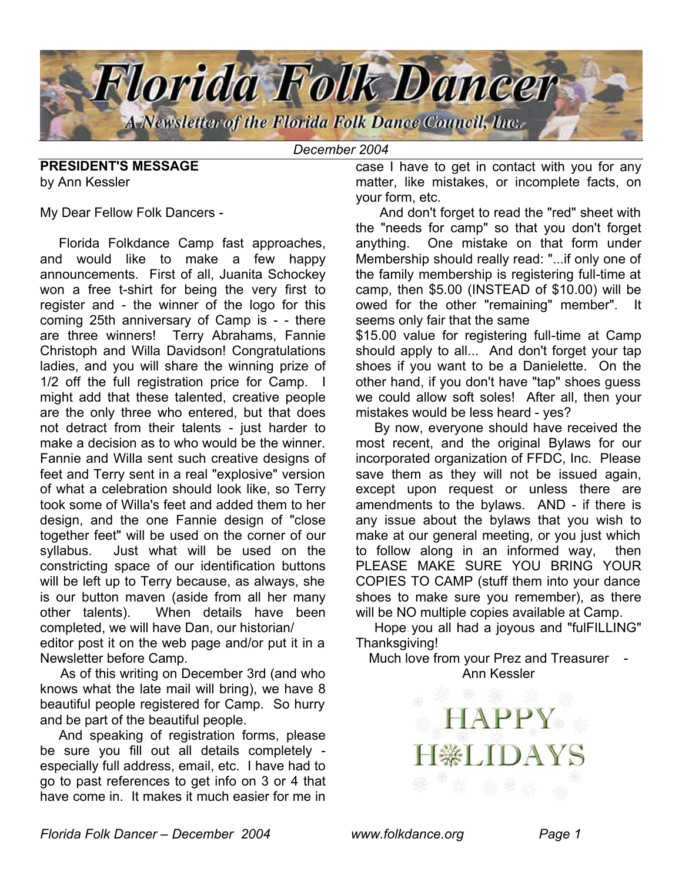

*December 2004*

**PRESIDENT'S MESSAGE** by Ann Kessler

My Dear Fellow Folk Dancers -

 Florida Folkdance Camp fast approaches, and would like to make a few happy announcements. First of all, Juanita Schockey won a free t-shirt for being the very first to register and - the winner of the logo for this coming 25th anniversary of Camp is - - there are three winners! Terry Abrahams, Fannie Christoph and Willa Davidson! Congratulations ladies, and you will share the winning prize of 1/2 off the full registration price for Camp. I might add that these talented, creative people are the only three who entered, but that does not detract from their talents - just harder to make a decision as to who would be the winner. Fannie and Willa sent such creative designs of feet and Terry sent in a real "explosive" version of what a celebration should look like, so Terry took some of Willa's feet and added them to her design, and the one Fannie design of "close together feet" will be used on the corner of our syllabus. Just what will be used on the constricting space of our identification buttons will be left up to Terry because, as always, she is our button maven (aside from all her many other talents). When details have been completed, we will have Dan, our historian/ editor post it on the web page and/or put it in a Newsletter before Camp.

 As of this writing on December 3rd (and who knows what the late mail will bring), we have 8 beautiful people registered for Camp. So hurry and be part of the beautiful people.

 And speaking of registration forms, please be sure you fill out all details completely especially full address, email, etc. I have had to go to past references to get info on 3 or 4 that have come in. It makes it much easier for me in

case I have to get in contact with you for any matter, like mistakes, or incomplete facts, on your form, etc.

 And don't forget to read the "red" sheet with the "needs for camp" so that you don't forget anything. One mistake on that form under Membership should really read: "...if only one of the family membership is registering full-time at camp, then \$5.00 (INSTEAD of \$10.00) will be owed for the other "remaining" member". It seems only fair that the same

\$15.00 value for registering full-time at Camp should apply to all... And don't forget your tap shoes if you want to be a Danielette. On the other hand, if you don't have "tap" shoes guess we could allow soft soles! After all, then your mistakes would be less heard - yes?

 By now, everyone should have received the most recent, and the original Bylaws for our incorporated organization of FFDC, Inc. Please save them as they will not be issued again, except upon request or unless there are amendments to the bylaws. AND - if there is any issue about the bylaws that you wish to make at our general meeting, or you just which to follow along in an informed way, then PLEASE MAKE SURE YOU BRING YOUR COPIES TO CAMP (stuff them into your dance shoes to make sure you remember), as there will be NO multiple copies available at Camp.

 Hope you all had a joyous and "fulFILLING" Thanksgiving!

Much love from your Prez and Treasurer Ann Kessler

APPY

 $\bigcap A$ 

*Florida Folk Dancer – December 2004 www.folkdance.org Page 1*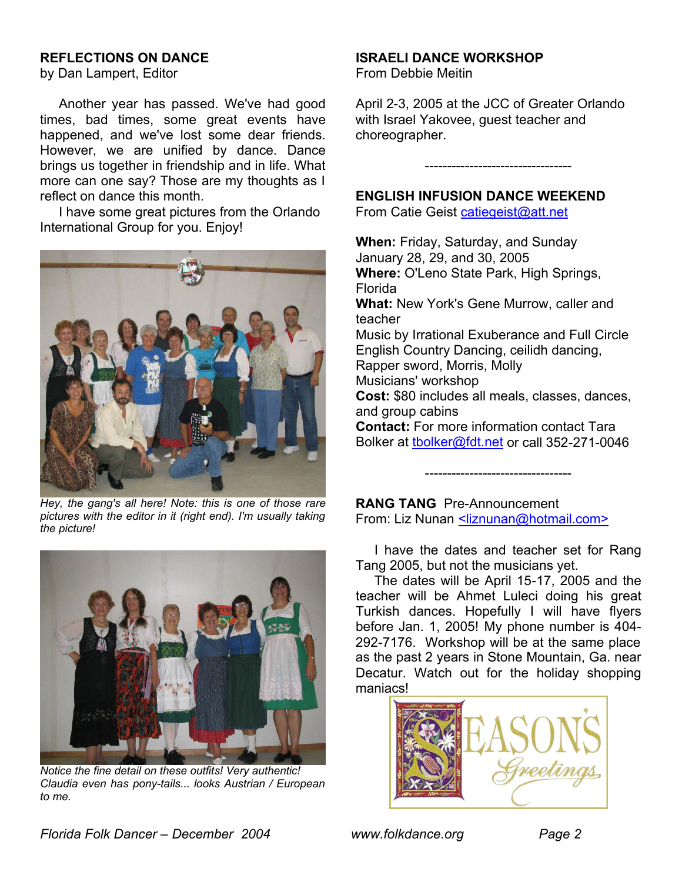### **REFLECTIONS ON DANCE**

by Dan Lampert, Editor

 Another year has passed. We've had good times, bad times, some great events have happened, and we've lost some dear friends. However, we are unified by dance. Dance brings us together in friendship and in life. What more can one say? Those are my thoughts as I reflect on dance this month.

 I have some great pictures from the Orlando International Group for you. Enjoy!



*Hey, the gang's all here! Note: this is one of those rare pictures with the editor in it (right end). I'm usually taking the picture!*



*Notice the fine detail on these outfits! Very authentic! Claudia even has pony-tails... looks Austrian / European to me.*

#### **ISRAELI DANCE WORKSHOP**

From Debbie Meitin

April 2-3, 2005 at the JCC of Greater Orlando with Israel Yakovee, guest teacher and choreographer.

---------------------------------

### **ENGLISH INFUSION DANCE WEEKEND**

From Catie Geist catiegeist@att.net

**When:** Friday, Saturday, and Sunday January 28, 29, and 30, 2005 **Where:** O'Leno State Park, High Springs, Florida **What:** New York's Gene Murrow, caller and teacher Music by Irrational Exuberance and Full Circle English Country Dancing, ceilidh dancing, Rapper sword, Morris, Molly Musicians' workshop **Cost:** \$80 includes all meals, classes, dances, and group cabins **Contact:** For more information contact Tara Bolker at tbolker@fdt.net or call 352-271-0046

**RANG TANG** Pre-Announcement From: Liz Nunan <a>Iiznunan@hotmail.com>

 I have the dates and teacher set for Rang Tang 2005, but not the musicians yet.

---------------------------------

 The dates will be April 15-17, 2005 and the teacher will be Ahmet Luleci doing his great Turkish dances. Hopefully I will have flyers before Jan. 1, 2005! My phone number is 404- 292-7176. Workshop will be at the same place as the past 2 years in Stone Mountain, Ga. near Decatur. Watch out for the holiday shopping maniacs!

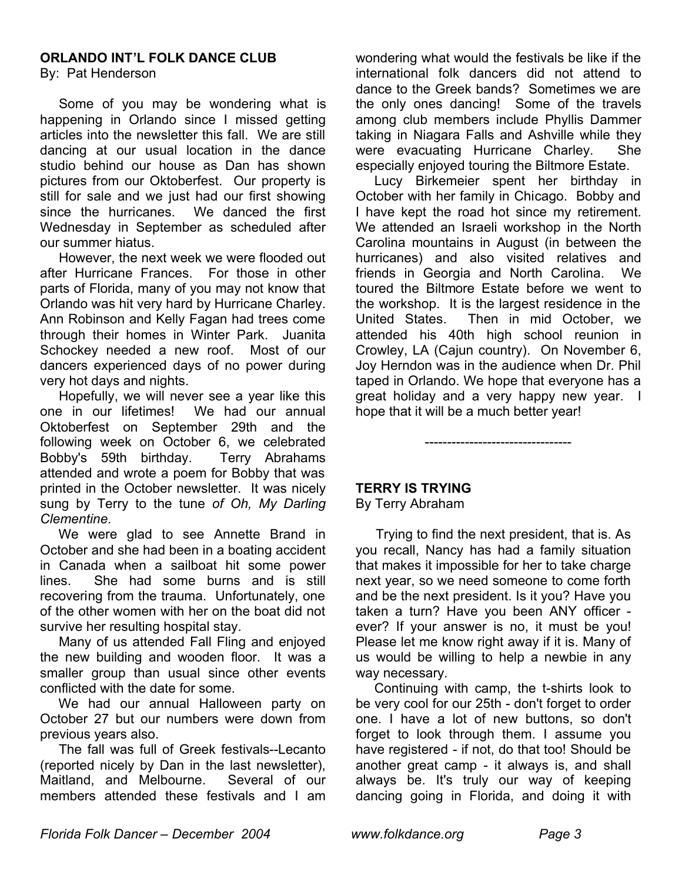# **ORLANDO INT'L FOLK DANCE CLUB**

By: Pat Henderson

 Some of you may be wondering what is happening in Orlando since I missed getting articles into the newsletter this fall. We are still dancing at our usual location in the dance studio behind our house as Dan has shown pictures from our Oktoberfest. Our property is still for sale and we just had our first showing since the hurricanes. We danced the first Wednesday in September as scheduled after our summer hiatus.

 However, the next week we were flooded out after Hurricane Frances. For those in other parts of Florida, many of you may not know that Orlando was hit very hard by Hurricane Charley. Ann Robinson and Kelly Fagan had trees come through their homes in Winter Park. Juanita Schockey needed a new roof. Most of our dancers experienced days of no power during very hot days and nights.

 Hopefully, we will never see a year like this one in our lifetimes! We had our annual Oktoberfest on September 29th and the following week on October 6, we celebrated Bobby's 59th birthday. Terry Abrahams attended and wrote a poem for Bobby that was printed in the October newsletter. It was nicely sung by Terry to the tune *of Oh, My Darling Clementine*.

 We were glad to see Annette Brand in October and she had been in a boating accident in Canada when a sailboat hit some power lines. She had some burns and is still recovering from the trauma. Unfortunately, one of the other women with her on the boat did not survive her resulting hospital stay.

 Many of us attended Fall Fling and enjoyed the new building and wooden floor. It was a smaller group than usual since other events conflicted with the date for some.

 We had our annual Halloween party on October 27 but our numbers were down from previous years also.

 The fall was full of Greek festivals--Lecanto (reported nicely by Dan in the last newsletter), Maitland, and Melbourne. Several of our members attended these festivals and I am wondering what would the festivals be like if the international folk dancers did not attend to dance to the Greek bands? Sometimes we are the only ones dancing! Some of the travels among club members include Phyllis Dammer taking in Niagara Falls and Ashville while they were evacuating Hurricane Charley. She especially enjoyed touring the Biltmore Estate.

 Lucy Birkemeier spent her birthday in October with her family in Chicago. Bobby and I have kept the road hot since my retirement. We attended an Israeli workshop in the North Carolina mountains in August (in between the hurricanes) and also visited relatives and friends in Georgia and North Carolina. We toured the Biltmore Estate before we went to the workshop. It is the largest residence in the United States. Then in mid October, we attended his 40th high school reunion in Crowley, LA (Cajun country). On November 6, Joy Herndon was in the audience when Dr. Phil taped in Orlando. We hope that everyone has a great holiday and a very happy new year. I hope that it will be a much better year!

**TERRY IS TRYING**

By Terry Abraham

 Trying to find the next president, that is. As you recall, Nancy has had a family situation that makes it impossible for her to take charge next year, so we need someone to come forth and be the next president. Is it you? Have you taken a turn? Have you been ANY officer ever? If your answer is no, it must be you! Please let me know right away if it is. Many of us would be willing to help a newbie in any way necessary.

---------------------------------

 Continuing with camp, the t-shirts look to be very cool for our 25th - don't forget to order one. I have a lot of new buttons, so don't forget to look through them. I assume you have registered - if not, do that too! Should be another great camp - it always is, and shall always be. It's truly our way of keeping dancing going in Florida, and doing it with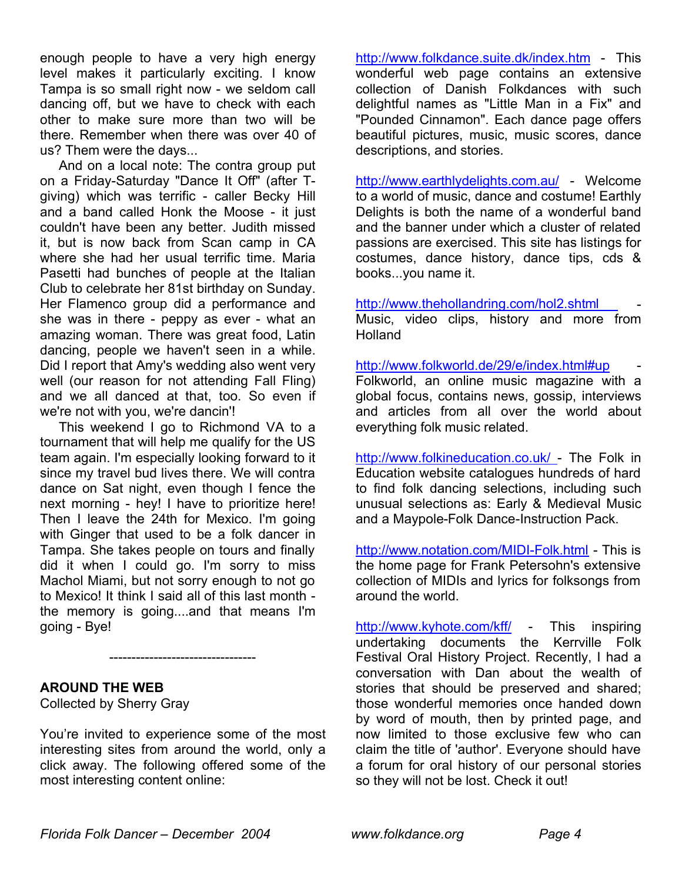enough people to have a very high energy level makes it particularly exciting. I know Tampa is so small right now - we seldom call dancing off, but we have to check with each other to make sure more than two will be there. Remember when there was over 40 of us? Them were the days...

 And on a local note: The contra group put on a Friday-Saturday "Dance It Off" (after Tgiving) which was terrific - caller Becky Hill and a band called Honk the Moose - it just couldn't have been any better. Judith missed it, but is now back from Scan camp in CA where she had her usual terrific time. Maria Pasetti had bunches of people at the Italian Club to celebrate her 81st birthday on Sunday. Her Flamenco group did a performance and she was in there - peppy as ever - what an amazing woman. There was great food, Latin dancing, people we haven't seen in a while. Did I report that Amy's wedding also went very well (our reason for not attending Fall Fling) and we all danced at that, too. So even if we're not with you, we're dancin'!

 This weekend I go to Richmond VA to a tournament that will help me qualify for the US team again. I'm especially looking forward to it since my travel bud lives there. We will contra dance on Sat night, even though I fence the next morning - hey! I have to prioritize here! Then I leave the 24th for Mexico. I'm going with Ginger that used to be a folk dancer in Tampa. She takes people on tours and finally did it when I could go. I'm sorry to miss Machol Miami, but not sorry enough to not go to Mexico! It think I said all of this last month the memory is going....and that means I'm going - Bye!

### **AROUND THE WEB**

Collected by Sherry Gray

You're invited to experience some of the most interesting sites from around the world, only a click away. The following offered some of the most interesting content online:

---------------------------------

http://www.folkdance.suite.dk/index.htm - This wonderful web page contains an extensive collection of Danish Folkdances with such delightful names as "Little Man in a Fix" and "Pounded Cinnamon". Each dance page offers beautiful pictures, music, music scores, dance descriptions, and stories.

http://www.earthlydelights.com.au/ - Welcome to a world of music, dance and costume! Earthly Delights is both the name of a wonderful band and the banner under which a cluster of related passions are exercised. This site has listings for costumes, dance history, dance tips, cds & books...you name it.

http://www.thehollandring.com/hol2.shtml - Music, video clips, history and more from Holland

http://www.folkworld.de/29/e/index.html#up

Folkworld, an online music magazine with a global focus, contains news, gossip, interviews and articles from all over the world about everything folk music related.

http://www.folkineducation.co.uk/ - The Folk in Education website catalogues hundreds of hard to find folk dancing selections, including such unusual selections as: Early & Medieval Music and a Maypole-Folk Dance-Instruction Pack.

http://www.notation.com/MIDI-Folk.html - This is the home page for Frank Petersohn's extensive collection of MIDIs and lyrics for folksongs from around the world.

http://www.kyhote.com/kff/ - This inspiring undertaking documents the Kerrville Folk Festival Oral History Project. Recently, I had a conversation with Dan about the wealth of stories that should be preserved and shared; those wonderful memories once handed down by word of mouth, then by printed page, and now limited to those exclusive few who can claim the title of 'author'. Everyone should have a forum for oral history of our personal stories so they will not be lost. Check it out!